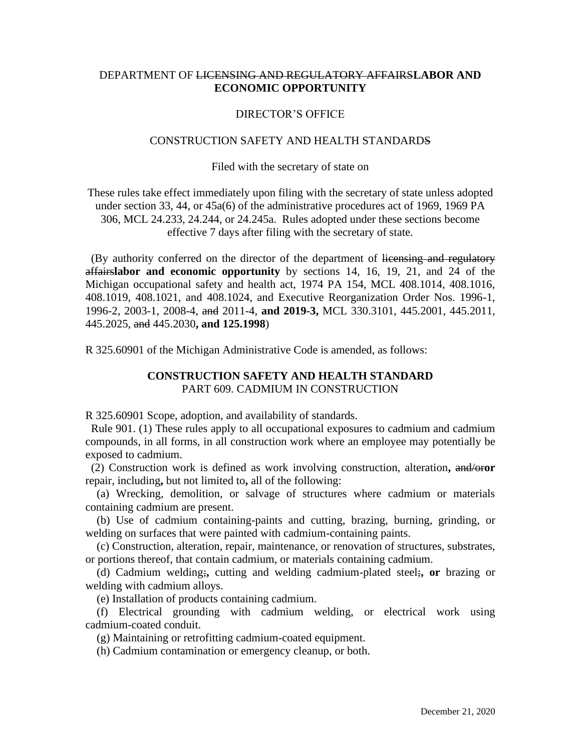## DEPARTMENT OF LICENSING AND REGULATORY AFFAIRS**LABOR AND ECONOMIC OPPORTUNITY**

### DIRECTOR'S OFFICE

### CONSTRUCTION SAFETY AND HEALTH STANDARDS

#### Filed with the secretary of state on

These rules take effect immediately upon filing with the secretary of state unless adopted under section 33, 44, or 45a(6) of the administrative procedures act of 1969, 1969 PA 306, MCL 24.233, 24.244, or 24.245a. Rules adopted under these sections become effective 7 days after filing with the secretary of state.

(By authority conferred on the director of the department of licensing and regulatory affairs**labor and economic opportunity** by sections 14, 16, 19, 21, and 24 of the Michigan occupational safety and health act, 1974 PA 154, MCL 408.1014, 408.1016, 408.1019, 408.1021, and 408.1024, and Executive Reorganization Order Nos. 1996-1, 1996-2, 2003-1, 2008-4, and 2011-4, **and 2019-3,** MCL 330.3101, 445.2001, 445.2011, 445.2025, and 445.2030**, and 125.1998**)

R 325.60901 of the Michigan Administrative Code is amended, as follows:

# **CONSTRUCTION SAFETY AND HEALTH STANDARD** PART 609. CADMIUM IN CONSTRUCTION

R 325.60901 Scope, adoption, and availability of standards.

 Rule 901. (1) These rules apply to all occupational exposures to cadmium and cadmium compounds, in all forms, in all construction work where an employee may potentially be exposed to cadmium.

 (2) Construction work is defined as work involving construction, alteration**,** and/or**or**  repair, including**,** but not limited to**,** all of the following:

 (a) Wrecking, demolition, or salvage of structures where cadmium or materials containing cadmium are present.

 (b) Use of cadmium containing-paints and cutting, brazing, burning, grinding, or welding on surfaces that were painted with cadmium-containing paints.

 (c) Construction, alteration, repair, maintenance, or renovation of structures, substrates, or portions thereof, that contain cadmium, or materials containing cadmium.

 (d) Cadmium welding;**,** cutting and welding cadmium-plated steel;**, or** brazing or welding with cadmium alloys.

(e) Installation of products containing cadmium.

 (f) Electrical grounding with cadmium welding, or electrical work using cadmium-coated conduit.

(g) Maintaining or retrofitting cadmium-coated equipment.

(h) Cadmium contamination or emergency cleanup, or both.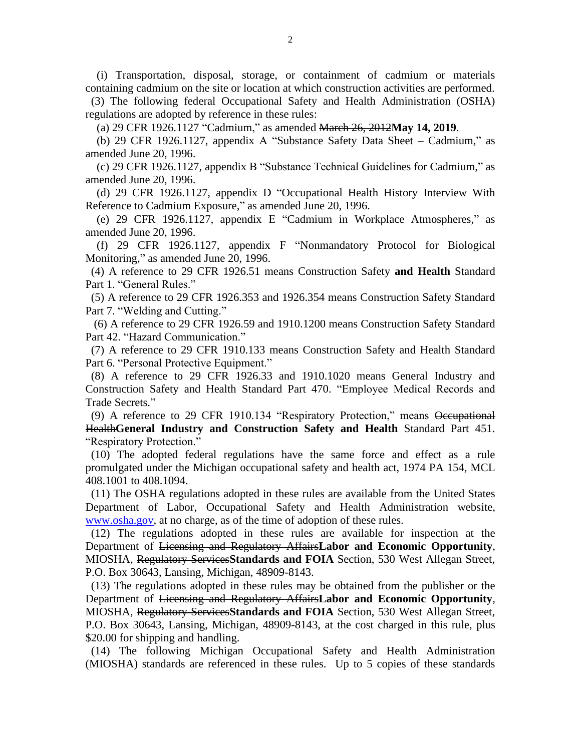(i) Transportation, disposal, storage, or containment of cadmium or materials containing cadmium on the site or location at which construction activities are performed.

 (3) The following federal Occupational Safety and Health Administration (OSHA) regulations are adopted by reference in these rules:

(a) 29 CFR 1926.1127 "Cadmium," as amended March 26, 2012**May 14, 2019**.

 (b) 29 CFR 1926.1127, appendix A "Substance Safety Data Sheet – Cadmium," as amended June 20, 1996.

 (c) 29 CFR 1926.1127, appendix B "Substance Technical Guidelines for Cadmium," as amended June 20, 1996.

 (d) 29 CFR 1926.1127, appendix D "Occupational Health History Interview With Reference to Cadmium Exposure," as amended June 20, 1996.

 (e) 29 CFR 1926.1127, appendix E "Cadmium in Workplace Atmospheres," as amended June 20, 1996.

 (f) 29 CFR 1926.1127, appendix F "Nonmandatory Protocol for Biological Monitoring," as amended June 20, 1996.

 (4) A reference to 29 CFR 1926.51 means Construction Safety **and Health** Standard Part 1. "General Rules."

 (5) A reference to 29 CFR 1926.353 and 1926.354 means Construction Safety Standard Part 7. "Welding and Cutting."

 (6) A reference to 29 CFR 1926.59 and 1910.1200 means Construction Safety Standard Part 42. "Hazard Communication."

 (7) A reference to 29 CFR 1910.133 means Construction Safety and Health Standard Part 6. "Personal Protective Equipment."

 (8) A reference to 29 CFR 1926.33 and 1910.1020 means General Industry and Construction Safety and Health Standard Part 470. "Employee Medical Records and Trade Secrets."

 (9) A reference to 29 CFR 1910.134 "Respiratory Protection," means Occupational Health**General Industry and Construction Safety and Health** Standard Part 451. "Respiratory Protection."

 (10) The adopted federal regulations have the same force and effect as a rule promulgated under the Michigan occupational safety and health act, 1974 PA 154, MCL 408.1001 to 408.1094.

 (11) The OSHA regulations adopted in these rules are available from the United States Department of Labor, Occupational Safety and Health Administration website, www.osha.gov, at no charge, as of the time of adoption of these rules.

 (12) The regulations adopted in these rules are available for inspection at the Department of Licensing and Regulatory Affairs**Labor and Economic Opportunity**, MIOSHA, Regulatory Services**Standards and FOIA** Section, 530 West Allegan Street, P.O. Box 30643, Lansing, Michigan, 48909-8143.

 (13) The regulations adopted in these rules may be obtained from the publisher or the Department of Licensing and Regulatory Affairs**Labor and Economic Opportunity**, MIOSHA, Regulatory Services**Standards and FOIA** Section, 530 West Allegan Street, P.O. Box 30643, Lansing, Michigan, 48909-8143, at the cost charged in this rule, plus \$20.00 for shipping and handling.

 (14) The following Michigan Occupational Safety and Health Administration (MIOSHA) standards are referenced in these rules. Up to 5 copies of these standards